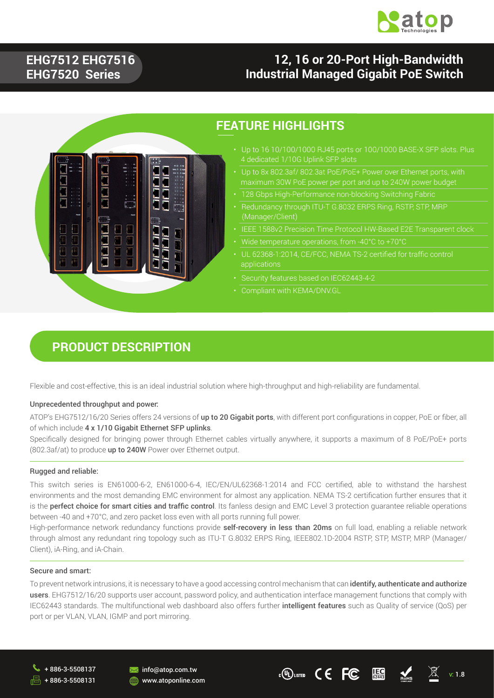

**IEC RoHS ICC v**: 1.8

### **EHG7512 EHG7516 EHG7520 Series**

### **12, 16 or 20-Port High-Bandwidth Industrial Managed Gigabit PoE Switch**



### **FEATURE HIGHLIGHTS**

- 4 dedicated 1/10G Uplink SFP slots
- Up to 8x 802.3af/ 802.3at PoE/PoE+ Power over Ethernet ports, with
- 
- Redundancy through ITU-T G.8032 ERPS Ring, RSTP, STP, MRP (Manager/Client)
- 
- Wide temperature operations, from -40°C to +70°C
- UL 62368-1:2014, CE/FCC, NEMA TS-2 certified for traffic control applications
- 
- Compliant with KEMA/DNV.GL

### **PRODUCT DESCRIPTION**

Flexible and cost-effective, this is an ideal industrial solution where high-throughput and high-reliability are fundamental.

#### Unprecedented throughput and power:

ATOP's EHG7512/16/20 Series offers 24 versions of up to 20 Gigabit ports, with different port configurations in copper, PoE or fiber, all of which include 4 x 1/10 Gigabit Ethernet SFP uplinks.

Specifically designed for bringing power through Ethernet cables virtually anywhere, it supports a maximum of 8 PoE/PoE+ ports (802.3af/at) to produce up to 240W Power over Ethernet output.

#### Rugged and reliable:

This switch series is EN61000-6-2, EN61000-6-4, IEC/EN/UL62368-1:2014 and FCC certified, able to withstand the harshest environments and the most demanding EMC environment for almost any application. NEMA TS-2 certification further ensures that it is the perfect choice for smart cities and traffic control. Its fanless design and EMC Level 3 protection quarantee reliable operations between -40 and +70°C, and zero packet loss even with all ports running full power.

High-performance network redundancy functions provide self-recovery in less than 20ms on full load, enabling a reliable network through almost any redundant ring topology such as ITU-T G.8032 ERPS Ring, IEEE802.1D-2004 RSTP, STP, MSTP, MRP (Manager/ Client), iA-Ring, and iA-Chain.

#### Secure and smart:

To prevent network intrusions, it is necessary to have a good accessing control mechanism that can identify, authenticate and authorize users. EHG7512/16/20 supports user account, password policy, and authentication interface management functions that comply with IEC62443 standards. The multifunctional web dashboard also offers further intelligent features such as Quality of service (QoS) per port or per VLAN, VLAN, IGMP and port mirroring.

 $c(\mathbf{U}_L)_{LSTED}$   $\subset$   $\in$   $FC$ 

+ 886-3-5508137 + 886-3-5508131

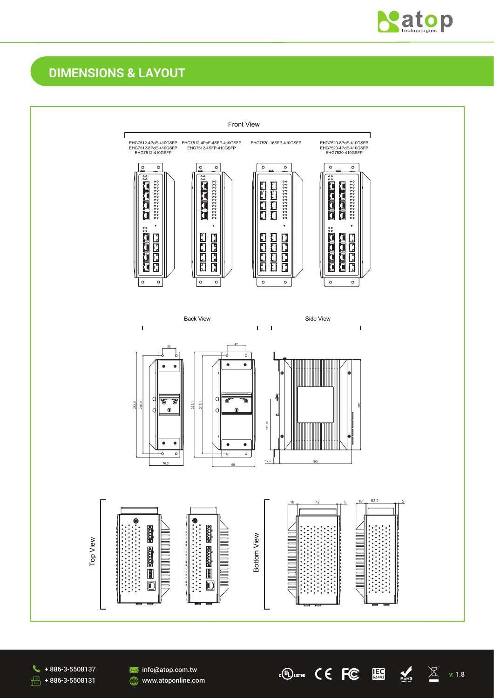

**IEC Rolls ICC v**: 1.8

 $\mathbb{C}$  (ULISTED  $\mathsf{C} \in \mathsf{FC}$ 

## **DIMENSIONS & LAYOUT**



+ 886-3-5508137  $\sqrt{3}$  + 886-3-5508131

**M**info@atop.com.tw **WWW.atoponline.com**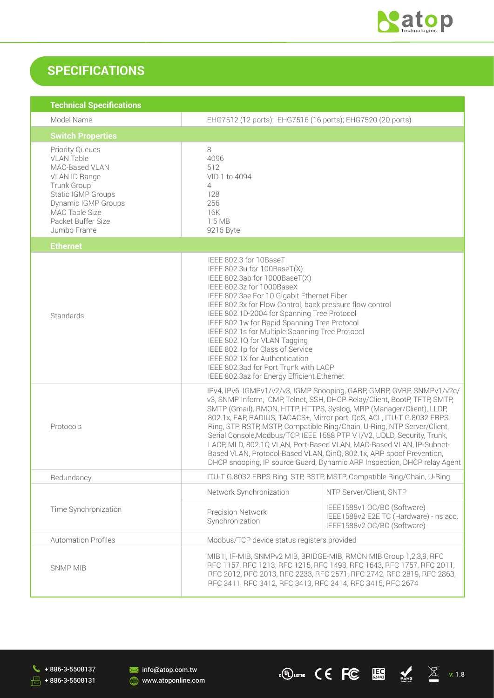

**v. U. LISTED C. C. F.C. EXEC 1245**  $\frac{1}{2}$  **1.8** 

## **SPECIFICATIONS**

| <b>Technical Specifications</b>                                                                                                                                                                          |                                                                                                                                                                                                                                                                                                                                                                                                                                                                                                                                                                                                                                                                                         |                                                                                                      |
|----------------------------------------------------------------------------------------------------------------------------------------------------------------------------------------------------------|-----------------------------------------------------------------------------------------------------------------------------------------------------------------------------------------------------------------------------------------------------------------------------------------------------------------------------------------------------------------------------------------------------------------------------------------------------------------------------------------------------------------------------------------------------------------------------------------------------------------------------------------------------------------------------------------|------------------------------------------------------------------------------------------------------|
| Model Name                                                                                                                                                                                               | EHG7512 (12 ports); EHG7516 (16 ports); EHG7520 (20 ports)                                                                                                                                                                                                                                                                                                                                                                                                                                                                                                                                                                                                                              |                                                                                                      |
| <b>Switch Properties</b>                                                                                                                                                                                 |                                                                                                                                                                                                                                                                                                                                                                                                                                                                                                                                                                                                                                                                                         |                                                                                                      |
| <b>Priority Queues</b><br><b>VLAN Table</b><br>MAC-Based VLAN<br>VLAN ID Range<br>Trunk Group<br><b>Static IGMP Groups</b><br>Dynamic IGMP Groups<br>MAC Table Size<br>Packet Buffer Size<br>Jumbo Frame | 8<br>4096<br>512<br>VID 1 to 4094<br>4<br>128<br>256<br>16K<br>1.5 MB<br>9216 Byte                                                                                                                                                                                                                                                                                                                                                                                                                                                                                                                                                                                                      |                                                                                                      |
| <b>Ethernet</b>                                                                                                                                                                                          |                                                                                                                                                                                                                                                                                                                                                                                                                                                                                                                                                                                                                                                                                         |                                                                                                      |
| Standards                                                                                                                                                                                                | IEEE 802.3 for 10BaseT<br>IEEE 802.3u for 100BaseT(X)<br>IEEE 802.3ab for 1000BaseT(X)<br>IEEE 802.3z for 1000BaseX<br>IEEE 802.3ae For 10 Gigabit Ethernet Fiber<br>IEEE 802.3x for Flow Control, back pressure flow control<br>IEEE 802.1D-2004 for Spanning Tree Protocol<br>IEEE 802.1w for Rapid Spanning Tree Protocol<br>IEEE 802.1s for Multiple Spanning Tree Protocol<br>IEEE 802.1Q for VLAN Tagging<br>IEEE 802.1p for Class of Service<br>IEEE 802.1X for Authentication<br>IEEE 802.3ad for Port Trunk with LACP<br>IEEE 802.3az for Energy Efficient Ethernet                                                                                                            |                                                                                                      |
| Protocols                                                                                                                                                                                                | IPv4, IPv6, IGMPv1/v2/v3, IGMP Snooping, GARP, GMRP, GVRP, SNMPv1/v2c/<br>v3, SNMP Inform, ICMP, Telnet, SSH, DHCP Relay/Client, BootP, TFTP, SMTP,<br>SMTP (Gmail), RMON, HTTP, HTTPS, Syslog, MRP (Manager/Client), LLDP,<br>802.1x, EAP, RADIUS, TACACS+, Mirror port, QoS, ACL, ITU-T G.8032 ERPS<br>Ring, STP, RSTP, MSTP, Compatible Ring/Chain, U-Ring, NTP Server/Client,<br>Serial Console, Modbus/TCP, IEEE 1588 PTP V1/V2, UDLD, Security, Trunk,<br>LACP, MLD, 802.1Q VLAN, Port-Based VLAN, MAC-Based VLAN, IP-Subnet-<br>Based VLAN, Protocol-Based VLAN, QinQ, 802.1x, ARP spoof Prevention,<br>DHCP snooping, IP source Guard, Dynamic ARP Inspection, DHCP relay Agent |                                                                                                      |
| Redundancy                                                                                                                                                                                               |                                                                                                                                                                                                                                                                                                                                                                                                                                                                                                                                                                                                                                                                                         | ITU-T G.8032 ERPS Ring, STP, RSTP, MSTP, Compatible Ring/Chain, U-Ring                               |
|                                                                                                                                                                                                          | Network Synchronization                                                                                                                                                                                                                                                                                                                                                                                                                                                                                                                                                                                                                                                                 | NTP Server/Client, SNTP                                                                              |
| Time Synchronization                                                                                                                                                                                     | <b>Precision Network</b><br>Synchronization                                                                                                                                                                                                                                                                                                                                                                                                                                                                                                                                                                                                                                             | IEEE1588v1 OC/BC (Software)<br>IEEE1588v2 E2E TC (Hardware) - ns acc.<br>IEEE1588v2 OC/BC (Software) |
| <b>Automation Profiles</b>                                                                                                                                                                               | Modbus/TCP device status registers provided                                                                                                                                                                                                                                                                                                                                                                                                                                                                                                                                                                                                                                             |                                                                                                      |
| <b>SNMP MIB</b>                                                                                                                                                                                          | MIB II, IF-MIB, SNMPv2 MIB, BRIDGE-MIB, RMON MIB Group 1,2,3,9, RFC<br>RFC 1157, RFC 1213, RFC 1215, RFC 1493, RFC 1643, RFC 1757, RFC 2011,<br>RFC 2012, RFC 2013, RFC 2233, RFC 2571, RFC 2742, RFC 2819, RFC 2863,<br>RFC 3411, RFC 3412, RFC 3413, RFC 3414, RFC 3415, RFC 2674                                                                                                                                                                                                                                                                                                                                                                                                     |                                                                                                      |

+ 886-3-5508137  $\sqrt{=}$  + 886-3-5508131 **M**info@atop.com.tw **WWW.atoponline.com**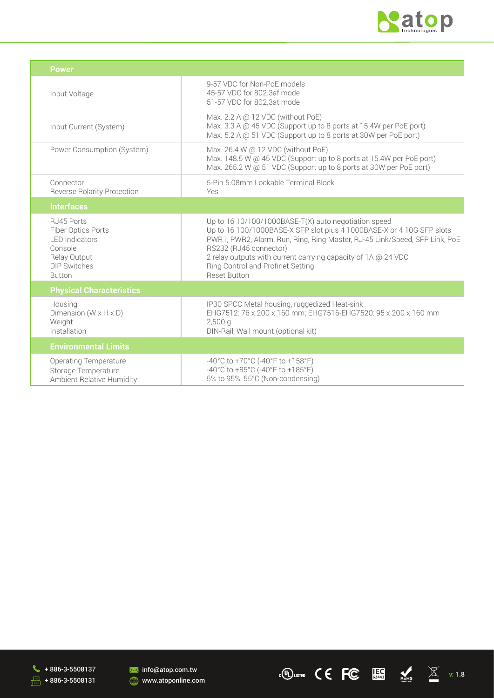

| <b>Power</b>                                                                                                                 |                                                                                                                                                                                                                                                                                                                                                                    |
|------------------------------------------------------------------------------------------------------------------------------|--------------------------------------------------------------------------------------------------------------------------------------------------------------------------------------------------------------------------------------------------------------------------------------------------------------------------------------------------------------------|
| Input Voltage                                                                                                                | 9-57 VDC for Non-PoE models<br>45-57 VDC for 802.3af mode<br>51-57 VDC for 802.3at mode                                                                                                                                                                                                                                                                            |
| Input Current (System)                                                                                                       | Max. 2.2 A @ 12 VDC (without PoE)<br>Max. 3.3 A @ 45 VDC (Support up to 8 ports at 15.4W per PoE port)<br>Max. 5.2 A @ 51 VDC (Support up to 8 ports at 30W per PoE port)                                                                                                                                                                                          |
| Power Consumption (System)                                                                                                   | Max. 26.4 W @ 12 VDC (without PoE)<br>Max. 148.5 W @ 45 VDC (Support up to 8 ports at 15.4W per PoE port)<br>Max. 265.2 W @ 51 VDC (Support up to 8 ports at 30W per PoE port)                                                                                                                                                                                     |
| Connector<br><b>Reverse Polarity Protection</b>                                                                              | 5-Pin 5.08mm Lockable Terminal Block<br>Yes                                                                                                                                                                                                                                                                                                                        |
| <b>Interfaces</b>                                                                                                            |                                                                                                                                                                                                                                                                                                                                                                    |
| RJ45 Ports<br>Fiber Optics Ports<br><b>LED</b> Indicators<br>Console<br>Relay Output<br><b>DIP Switches</b><br><b>Button</b> | Up to 16 10/100/1000BASE-T(X) auto negotiation speed<br>Up to 16 100/1000BASE-X SFP slot plus 4 1000BASE-X or 4 10G SFP slots<br>PWR1, PWR2, Alarm, Run, Ring, Ring Master, RJ-45 Link/Speed, SFP Link, PoE<br>RS232 (RJ45 connector)<br>2 relay outputs with current carrying capacity of 1A @ 24 VDC<br>Ring Control and Profinet Setting<br><b>Reset Button</b> |
| <b>Physical Characteristics</b>                                                                                              |                                                                                                                                                                                                                                                                                                                                                                    |
| Housing<br>Dimension ( $W \times H \times D$ )<br>Weight<br>Installation                                                     | IP30 SPCC Metal housing, ruggedized Heat-sink<br>EHG7512: 76 x 200 x 160 mm; EHG7516-EHG7520: 95 x 200 x 160 mm<br>2,500q<br>DIN-Rail, Wall mount (optional kit)                                                                                                                                                                                                   |
| <b>Environmental Limits</b>                                                                                                  |                                                                                                                                                                                                                                                                                                                                                                    |
| <b>Operating Temperature</b><br>Storage Temperature<br>Ambient Relative Humidity                                             | -40°C to +70°C (-40°F to +158°F)<br>-40°C to +85°C (-40°F to +185°F)<br>5% to 95%, 55°C (Non-condensing)                                                                                                                                                                                                                                                           |



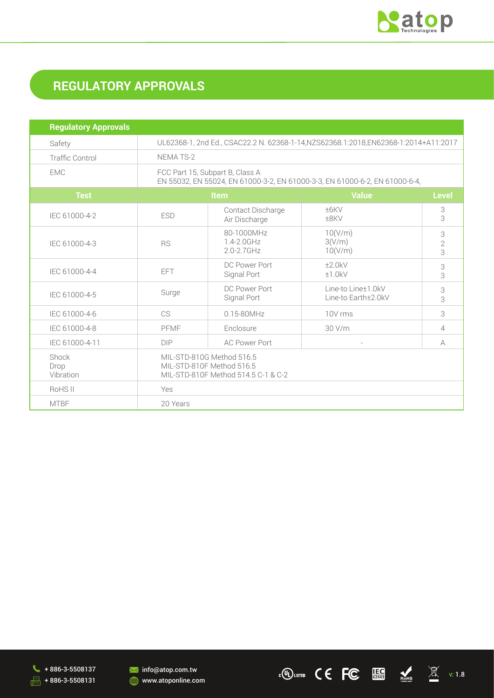

# **REGULATORY APPROVALS**

| <b>Regulatory Approvals</b> |                                                                                                                |                                        |                                           |                          |
|-----------------------------|----------------------------------------------------------------------------------------------------------------|----------------------------------------|-------------------------------------------|--------------------------|
| Safety                      | UL62368-1, 2nd Ed., CSAC22.2 N. 62368-1-14, NZS62368.1:2018, EN62368-1:2014+A11:2017                           |                                        |                                           |                          |
| Traffic Control             | NEMA TS-2                                                                                                      |                                        |                                           |                          |
| <b>EMC</b>                  | FCC Part 15, Subpart B, Class A<br>EN 55032, EN 55024, EN 61000-3-2, EN 61000-3-3, EN 61000-6-2, EN 61000-6-4, |                                        |                                           |                          |
| <b>Test</b>                 | <b>Item</b>                                                                                                    |                                        | <b>Value</b>                              | <b>Level</b>             |
| IEC 61000-4-2               | <b>ESD</b>                                                                                                     | Contact Discharge<br>Air Discharge     | ±6KV<br>±8KV                              | 3<br>3                   |
| IEC 61000-4-3               | <b>RS</b>                                                                                                      | 80-1000MHz<br>1.4-2.0GHz<br>2.0-2.7GHz | 10(V/m)<br>3(V/m)<br>10(V/m)              | 3<br>$\overline{2}$<br>3 |
| IEC 61000-4-4               | <b>EFT</b>                                                                                                     | DC Power Port<br>Signal Port           | ±2.0kV<br>±1.0kV                          | 3<br>3                   |
| IEC 61000-4-5               | Surge                                                                                                          | DC Power Port<br>Signal Port           | Line-to Line±1.0kV<br>Line-to Earth±2.0kV | 3<br>3                   |
| IEC 61000-4-6               | CS                                                                                                             | 0.15-80MHz                             | 10V rms                                   | 3                        |
| IEC 61000-4-8               | PFMF                                                                                                           | Enclosure                              | 30 V/m                                    | 4                        |
| IEC 61000-4-11              | <b>DIP</b>                                                                                                     | <b>AC Power Port</b>                   |                                           | A                        |
| Shock<br>Drop<br>Vibration  | MIL-STD-810G Method 516.5<br>MIL-STD-810F Method 516.5<br>MIL-STD-810F Method 514.5 C-1 & C-2                  |                                        |                                           |                          |
| RoHS <sub>II</sub>          | Yes                                                                                                            |                                        |                                           |                          |
| <b>MTBF</b>                 | 20 Years                                                                                                       |                                        |                                           |                          |





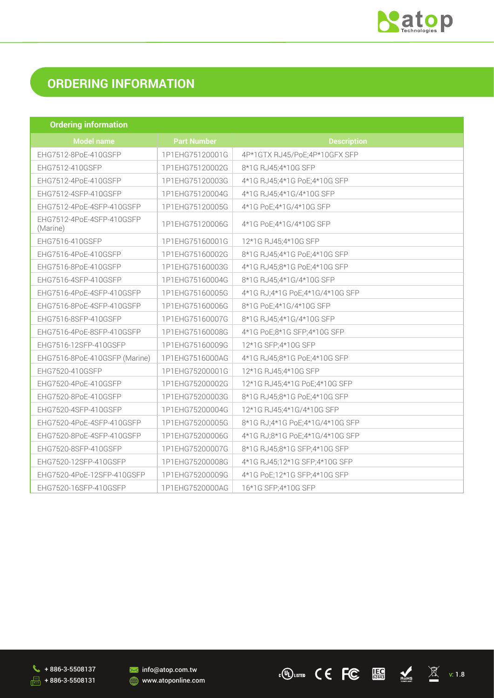

**v. 1.8 IEC EE FC EE FC 62445 IEC IEC IEC** 

## **ORDERING INFORMATION**

| <b>Ordering information</b>           |                    |                                 |
|---------------------------------------|--------------------|---------------------------------|
| <b>Model name</b>                     | <b>Part Number</b> | <b>Description</b>              |
| EHG7512-8PoE-410GSFP                  | 1P1EHG75120001G    | 4P*1GTX RJ45/PoE;4P*10GFX SFP   |
| EHG7512-410GSFP                       | 1P1EHG75120002G    | 8*1G RJ45;4*10G SFP             |
| EHG7512-4PoE-410GSFP                  | 1P1EHG75120003G    | 4*1G RJ45;4*1G PoE;4*10G SFP    |
| EHG7512-4SFP-410GSFP                  | 1P1EHG75120004G    | 4*1G RJ45;4*1G/4*10G SFP        |
| EHG7512-4PoE-4SFP-410GSFP             | 1P1EHG75120005G    | 4*1G PoE;4*1G/4*10G SFP         |
| EHG7512-4PoE-4SFP-410GSFP<br>(Marine) | 1P1EHG75120006G    | 4*1G PoE;4*1G/4*10G SFP         |
| EHG7516-410GSFP                       | 1P1EHG75160001G    | 12*1G RJ45;4*10G SFP            |
| EHG7516-4PoE-410GSFP                  | 1P1EHG75160002G    | 8*1G RJ45;4*1G PoE;4*10G SFP    |
| EHG7516-8PoE-410GSFP                  | 1P1EHG75160003G    | 4*1G RJ45;8*1G PoE;4*10G SFP    |
| EHG7516-4SFP-410GSFP                  | 1P1EHG75160004G    | 8*1G RJ45;4*1G/4*10G SFP        |
| EHG7516-4PoE-4SFP-410GSFP             | 1P1EHG75160005G    | 4*1G RJ;4*1G PoE;4*1G/4*10G SFP |
| EHG7516-8PoE-4SFP-410GSFP             | 1P1EHG75160006G    | 8*1G PoE;4*1G/4*10G SFP         |
| EHG7516-8SFP-410GSFP                  | 1P1EHG75160007G    | 8*1G RJ45;4*1G/4*10G SFP        |
| EHG7516-4PoE-8SFP-410GSFP             | 1P1EHG75160008G    | 4*1G PoE;8*1G SFP;4*10G SFP     |
| EHG7516-12SFP-410GSFP                 | 1P1EHG75160009G    | 12*1G SFP;4*10G SFP             |
| EHG7516-8PoE-410GSFP (Marine)         | 1P1EHG7516000AG    | 4*1G RJ45;8*1G PoE;4*10G SFP    |
| EHG7520-410GSFP                       | 1P1EHG75200001G    | 12*1G RJ45;4*10G SFP            |
| EHG7520-4PoE-410GSFP                  | 1P1EHG75200002G    | 12*1G RJ45;4*1G PoE;4*10G SFP   |
| EHG7520-8PoE-410GSFP                  | 1P1EHG75200003G    | 8*1G RJ45;8*1G PoE;4*10G SFP    |
| EHG7520-4SFP-410GSFP                  | 1P1EHG75200004G    | 12*1G RJ45;4*1G/4*10G SFP       |
| EHG7520-4PoE-4SFP-410GSFP             | 1P1EHG75200005G    | 8*1G RJ;4*1G PoE;4*1G/4*10G SFP |
| EHG7520-8PoE-4SFP-410GSFP             | 1P1EHG75200006G    | 4*1G RJ;8*1G PoE;4*1G/4*10G SFP |
| EHG7520-8SFP-410GSFP                  | 1P1EHG75200007G    | 8*1G RJ45;8*1G SFP;4*10G SFP    |
| EHG7520-12SFP-410GSFP                 | 1P1EHG75200008G    | 4*1G RJ45;12*1G SFP;4*10G SFP   |
| EHG7520-4PoE-12SFP-410GSFP            | 1P1EHG75200009G    | 4*1G PoE;12*1G SFP;4*10G SFP    |
| EHG7520-16SFP-410GSFP                 | 1P1EHG7520000AG    | 16*1G SFP;4*10G SFP             |